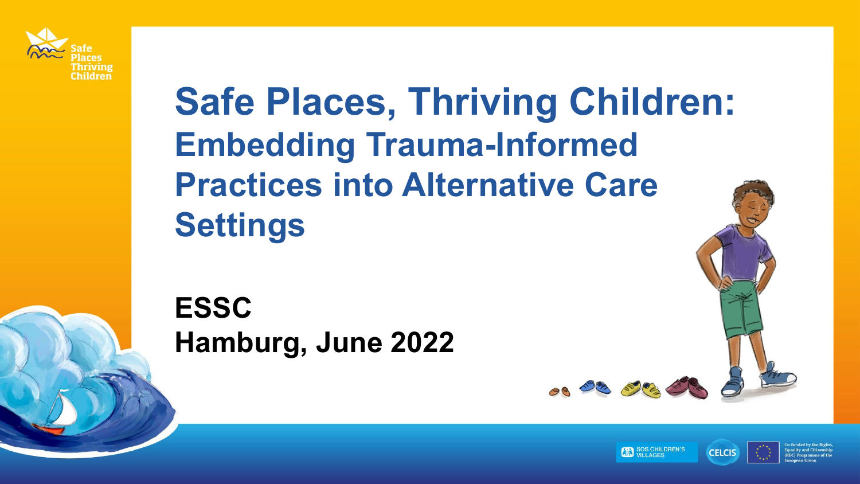

## **Safe Places, Thriving Children: Embedding Trauma-Informed Practices into Alternative Care Settings**

**ESSC Hamburg, June 2022**



08 03 000 0

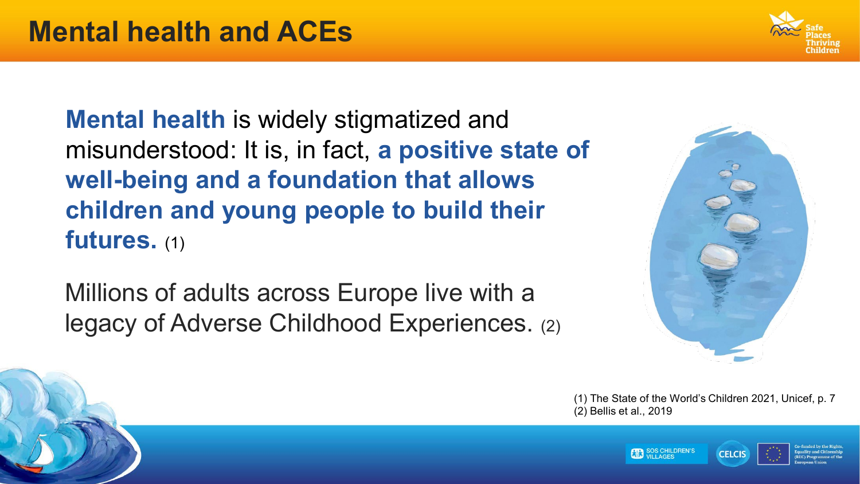**Mental health** is widely stigmatized and misunderstood: It is, in fact, **a positive state of well-being and a foundation that allows children and young people to build their futures.** (1)

Millions of adults across Europe live with a legacy of Adverse Childhood Experiences. (2)



(1) The State of the World's Children 2021, Unicef, p. 7 (2) Bellis et al., 2019





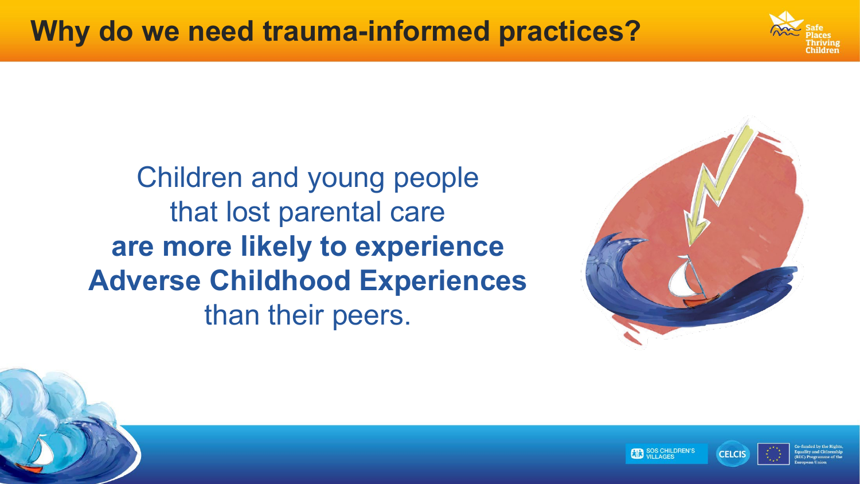

Children and young people that lost parental care **are more likely to experience Adverse Childhood Experiences** than their peers.





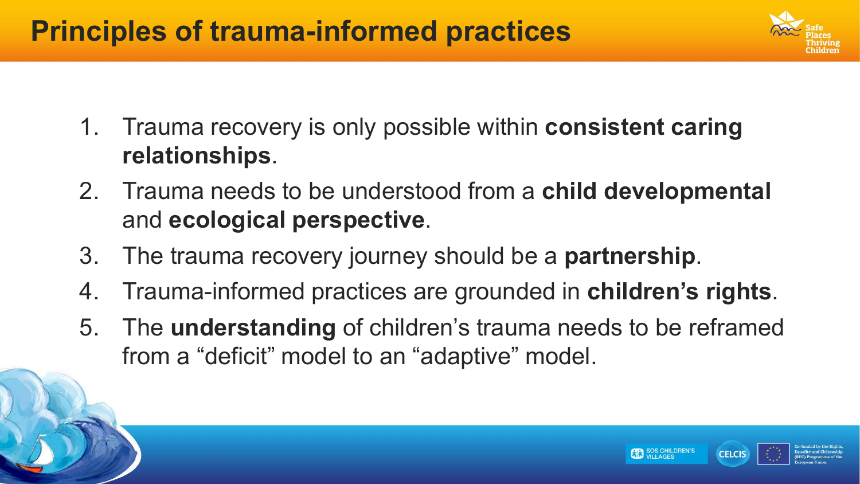## **Principles of trauma-informed practices**



**CELCIS** 

- 1. Trauma recovery is only possible within **consistent caring relationships**.
- 2. Trauma needs to be understood from a **child developmental**  and **ecological perspective**.
- 3. The trauma recovery journey should be a **partnership**.
- 4. Trauma-informed practices are grounded in **children's rights**.
- 5. The **understanding** of children's trauma needs to be reframed from a "deficit" model to an "adaptive" model.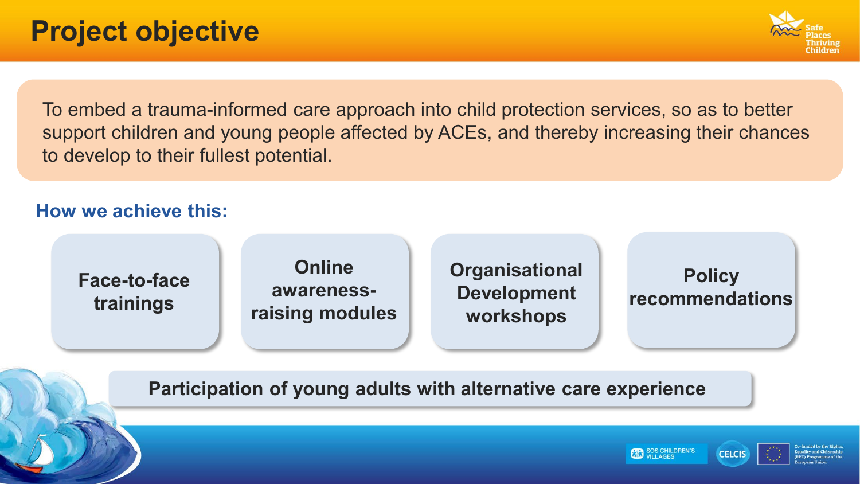

To embed a trauma-informed care approach into child protection services, so as to better support children and young people affected by ACEs, and thereby increasing their chances to develop to their fullest potential.

#### **How we achieve this:**



**Participation of young adults with alternative care experience**



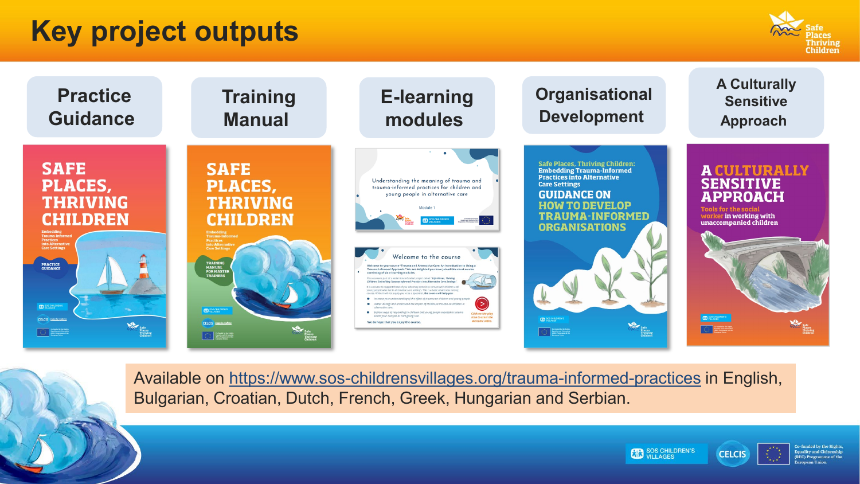## **Key project outputs**





Available on <https://www.sos-childrensvillages.org/trauma-informed-practices> in English, Bulgarian, Croatian, Dutch, French, Greek, Hungarian and Serbian.





o-funded by the Rights **Equality and Citizenship** (REC) Programme of the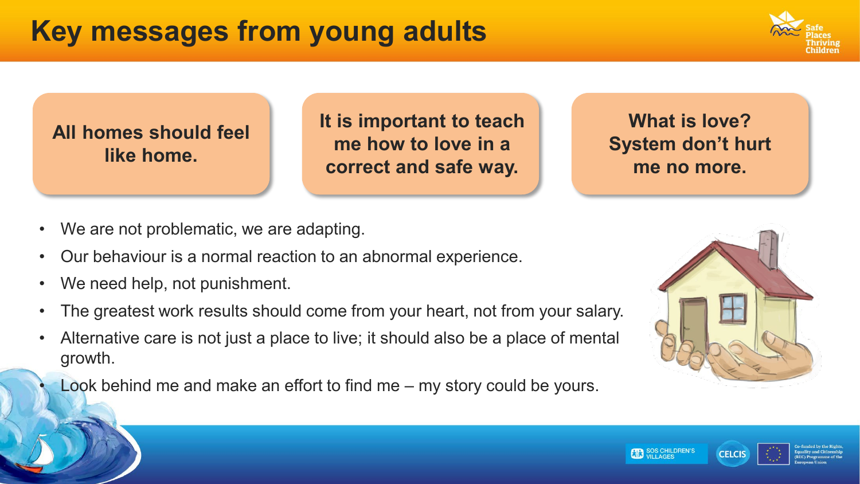

**All homes should feel like home.**

**It is important to teach me how to love in a correct and safe way.**

**What is love? System don't hurt me no more.**

- We are not problematic, we are adapting.
- Our behaviour is a normal reaction to an abnormal experience.
- We need help, not punishment.
- The greatest work results should come from your heart, not from your salary.
- Alternative care is not just a place to live; it should also be a place of mental growth.
- Look behind me and make an effort to find me  $-$  my story could be yours.



**CELCIS**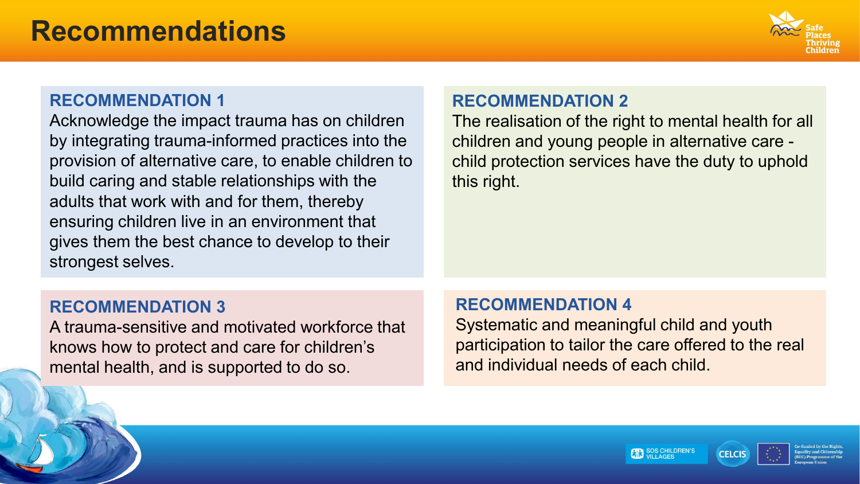

#### **RECOMMENDATION 1**

Acknowledge the impact trauma has on children by integrating trauma-informed practices into the provision of alternative care, to enable children to build caring and stable relationships with the adults that work with and for them, thereby ensuring children live in an environment that gives them the best chance to develop to their strongest selves.

#### **RECOMMENDATION 2**

The realisation of the right to mental health for all children and young people in alternative care child protection services have the duty to uphold this right.

#### **RECOMMENDATION 3**

A trauma-sensitive and motivated workforce that knows how to protect and care for children's mental health, and is supported to do so.

#### **RECOMMENDATION 4**

Systematic and meaningful child and youth participation to tailor the care offered to the real and individual needs of each child.



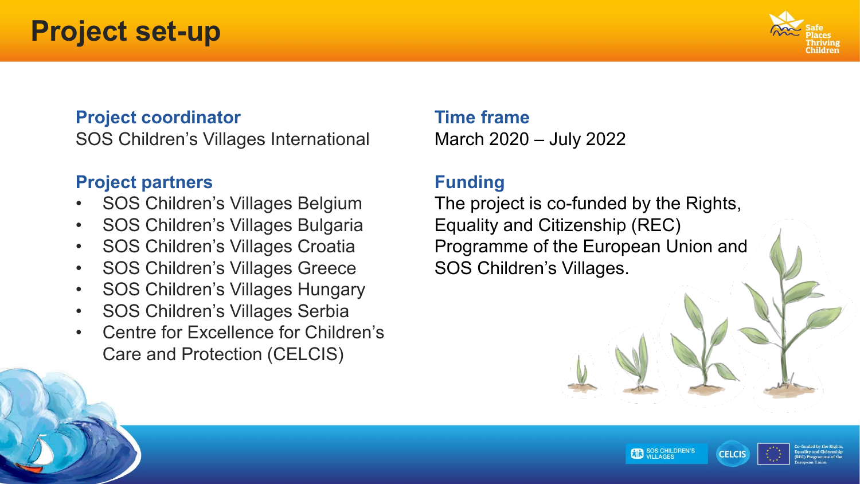### **Project set-up**



#### **Project coordinator**

SOS Children's Villages International

#### **Project partners**

- SOS Children's Villages Belgium
- SOS Children's Villages Bulgaria
- SOS Children's Villages Croatia
- SOS Children's Villages Greece
- SOS Children's Villages Hungary
- SOS Children's Villages Serbia
- Centre for Excellence for Children's Care and Protection (CELCIS)

#### **Time frame**

March 2020 – July 2022

#### **Funding**

The project is co-funded by the Rights, Equality and Citizenship (REC) Programme of the European Union and SOS Children's Villages.